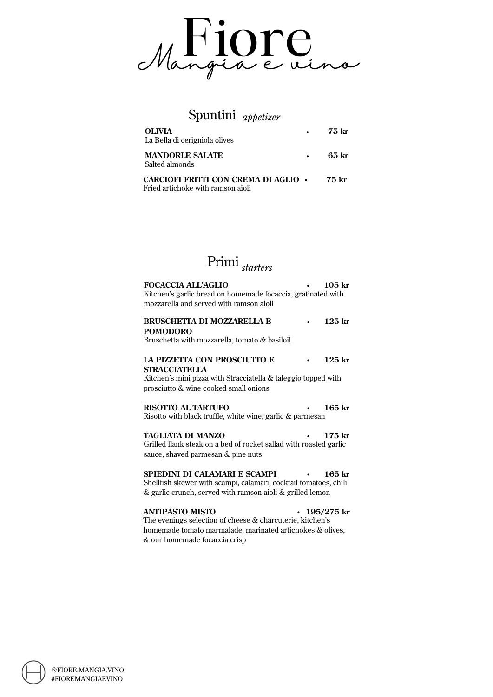

### Spuntini *appetizer*

| <b>OLIVIA</b><br>La Bella di cerigniola olives                                   | $\bullet$ | 75 kr |
|----------------------------------------------------------------------------------|-----------|-------|
| <b>MANDORLE SALATE</b><br>Salted almonds                                         |           | 65 kr |
| <b>CARCIOFI FRITTI CON CREMA DI AGLIO</b> •<br>Fried artichoke with ramson aioli |           | 75 kr |

## Primi *starters*

| <b>FOCACCIA ALL'AGLIO</b><br>Kitchen's garlic bread on homemade focaccia, gratinated with                                                                       | $105$ kr     |
|-----------------------------------------------------------------------------------------------------------------------------------------------------------------|--------------|
| mozzarella and served with ramson aioli                                                                                                                         |              |
| <b>BRUSCHETTA DI MOZZARELLA E</b><br><b>POMODORO</b><br>Bruschetta with mozzarella, tomato & basiloil                                                           | $125$ kr     |
| LA PIZZETTA CON PROSCIUTTO E<br><b>STRACCIATELLA</b><br>Kitchen's mini pizza with Stracciatella & taleggio topped with<br>prosciutto & wine cooked small onions | $125$ kr     |
| <b>RISOTTO AL TARTUFO</b><br>Risotto with black truffle, white wine, garlic & parmesan                                                                          | $165$ kr     |
| TAGLIATA DI MANZO<br>Grilled flank steak on a bed of rocket sallad with roasted garlic<br>sauce, shaved parmesan & pine nuts                                    | $175$ kr     |
| Shellfish skewer with scampi, calamari, cocktail tomatoes, chili<br>& garlic crunch, served with ramson aioli & grilled lemon                                   | $165$ kr     |
| ANTIPASTO MISTO                                                                                                                                                 | • 195/275 kr |

The evenings selection of cheese & charcuterie, kitchen's homemade tomato marmalade, marinated artichokes & olives, & our homemade focaccia crisp